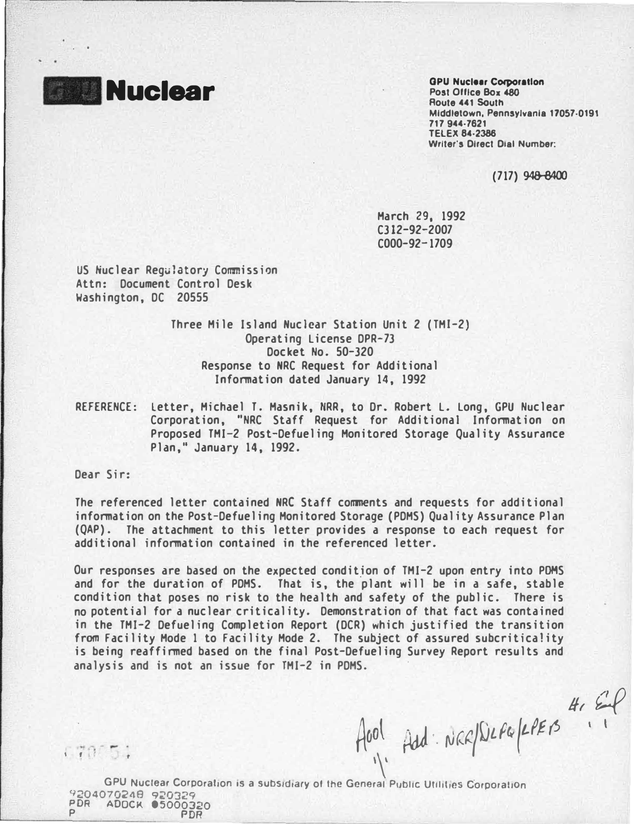

. .

Nuclear GPU Nuclear Corporation Post Office Box 480 Route 441 South Middletown, Pennsylvania 17057·0191 717 944·7621 TELEX 84·2386 Writer's Direct Dial Number:

( 717) 948-8400

 $4.29$ 

 $\mathbf{1}$ 

March 29, 1992 C312-92-2007 C000-92-1709

US Nuclear Regulatory Commission Attn: Document Control Desk Washington, DC 20555

> Three Mile Island Nuclear Station Unit 2 (TMl-2) Operating License DPR-73 Docket No. 50-320 Response to NRC Request for Additional Information dated January 14, 1992

REFERENCE: Letter, Michael T. Masnik, NRR, to Or. Robert L. Long, GPU Nuclear Corporation, "NRC Staff Request for Additional Information on Proposed TMI-2 Post-Defueling Monitored Storage Quality Assurance Plan," January 14, 1992.

Dear Sir:

The referenced letter contained NRC Staff comments and requests for additional information on the Post-Defueling Monitored Storage (PDMS) Quality Assurance Plan (QAP). The attachment to this letter provides a response to each request for additional information contained in the referenced letter.

Our responses are based on the expected condition of TMI-2 upon entry into POMS and for the duration of PDMS. That is, the plant will be in a safe, stable condition that poses no risk to the health and safety of the public. There is no potential for a nuclear criticality. Demonstration of that fact was contained in the TMI-2 Oefueling Completion Report (OCR) which justified the transition from facility Mode 1 to facility Mode 2. The subject of assured subcriticality is being reaffirmed based on the final Post-Oefueling Survey Report results and analysis and is not an issue for TMI-2 in PDMS.

 $170.51$ 

A001 Add NER/DLFG/LPERS

GPU Nuclear Corporation is a subsidiary of the General Public Utilities Corporation 9204070248 920329 PDR ADOCK 05000320 P PDR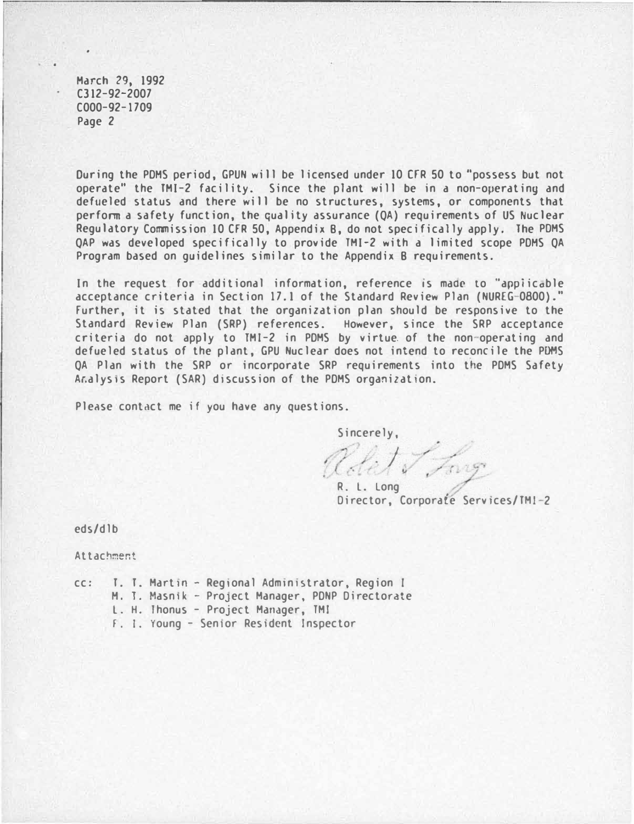March 29, 1992 C312-92-2007 C000-92-1709 Page 2

During the PDMS period, GPUN will be licensed under 10 CFR 50 to "possess but not operate" the TMI-2 facility. Since the plant will be in a non-operating and defueled status and there will be no structures, systems, or components that perform a safety function, the quality assurance (QA) requirements of US Nuclear Regulatory Commission 10 CfR 50, Appendix 8, do not specifically apply. The PDMS QAP was developed specifically to provide TMI-2 with a limited scope POHS QA Program based on guidelines similar to the Appendix 8 requirements.

In the request for additional information, reference is made to "applicable acceptance criteria in Section 17.1 of the Standard Review Plan (NUREG-0800)." Further, it is stated that the organization plan should be responsive to the Standard Review Plan (SRP) references. However, since the SRP acceptance criteria do not apply to  $IMI-2$  in PDMS by virtue of the non-operating and defueled status of the plant, GPU Nuclear does not intend to reconcile the PDMS OA Plan with the SRP or incorporate SRP requirements into the PDMS Safety Aralysis Report (SAR) discussion of the PDMS organization.

Please contact me if you have any questions.

Sincerely, . ) Long

R. L. Long Director, Corporate Services/TMI-2

eds/dlb

Attachment

- cc: I. T. Martin Regional Administrator, Region I
	- H. 1. Masntk- ProJeCt Manager, PONP Directorate
		- L. H. lhonus Project Manager, TMI
		- f. I. Young Sen1or Restdcnt Inspector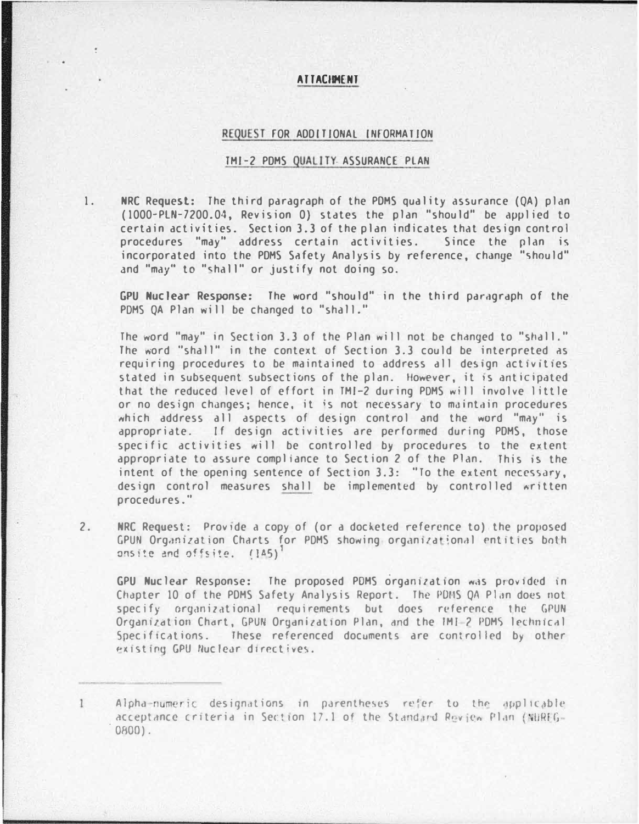## ATTACIMENT

## REQUEST FOR ADDITIONAL INFORMATION

## TMI-2 PDMS QUALITY ASSURANCE PLAN

1.

NRC Request: The third paragraph of the PDMS quality assurance (QA) plan (1000-PLN-7200.04, Revision 0) states the plan "should" be applied to certain activities. Section 3.3 of the plan indicates that design control procedures "may" address certain activities. Since the plan is incorporated into the PDMS Safety Analysis by reference, change "should" and "may" to "shall" or justify not doing so.

GPU Nuclear Response: The word "should" in the third paragraph of the PDMS OA Plan will be changed to "shall."

The word "may" in Section 3.3 of the Plan will not be changed to "shall," The word "shall" in the context of Section 3.3 could be interpreted as requiring procedures to be maintained to address all design activities stated in subsequent subsections of the plan. However, it is anticipated that the reduced level of effort in TMI-2 during PDMS will involve little or no design changes; hence, it is not necessary to maintain procedures which address all aspects of design control and the word "may" is appropriate. If design activities are performed during PDMS, those specific activities will be controlled by procedures to the extent appropriate to assure compliance to Section 2 of the Plan. This is the intent of the opening sentence of Section 3.3: "To the extent necessary, design control measures shall be implemented by controlled written procedures."

 $2.$ NRC Request: Provide a copy of (or a docketed reference to) the proposed GPUN Organization Charts for PDMS showing organizational entities both onsite and offsite. (145)<sup>1</sup>

GPU Nuclear Response: The proposed PDMS organization was provided in Chapter 10 of the PDMS Safety Analysis Report. The PDMS QA Plan does not specify organizational requirements but does reference the GPUN Organization Chart, GPUN Organization Plan, and the IMI-2 PDMS lechnical Specifications. These referenced documents are controlled by other existing GPU Nuclear directives.

 $\mathbf{1}$ Alpha-numeric designations in parentheses refer to the applicable acceptance criteria in Section 17.1 of the Standard Review Plan (NUREG- $0800$ ).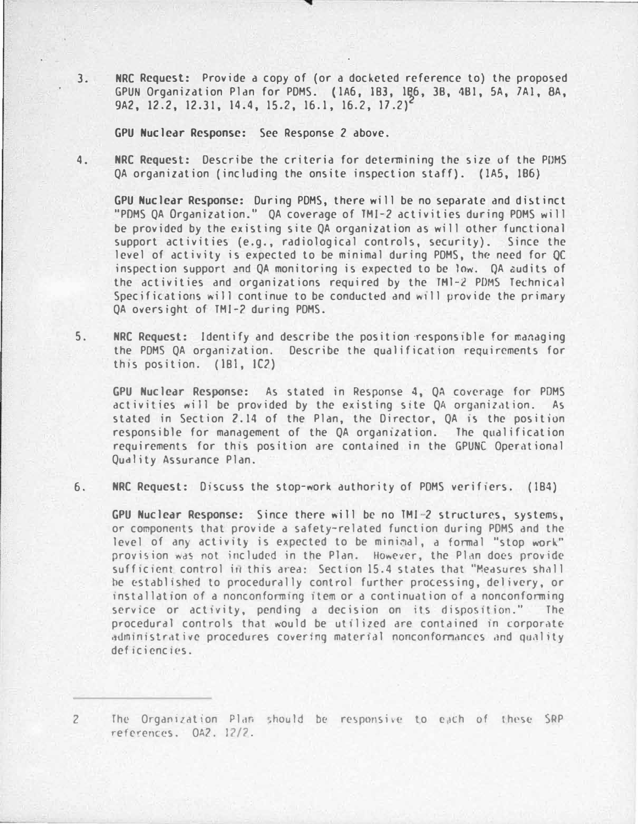3. NRC Request: Provide a copy of (or a docketed reference to) the proposed GPUN Organization Plan for PDMS. (1A6, 1B3, 1B6, 3B, 4B1, 5A, 7A1, 8A, 9A2, 12.2, 12.31, 14.4, 15.2, 16.1, 16.2, 17.2)

GPU Nuclear Response: See Response 2 above.

4. NRC Request: Describe the criteria for determining the size of the PDMS QA organization (including the onsite inspection staff). (lAS, 1B6)

GPU Nuclear Response: During PDMS, there will be no separate and di�tinct "PDMS QA Organization." QA coverage of TMI-2 activities during POHS will be provided by the existing site QA organization as will other functional support activities (e.g., radiological controls, security). Since the level of activity is expected to be minimal during POMS, the need for QC inspection support and QA monitoring is expected to be low. QA �udits of the activities and organizations required by the TM1-2 PDMS Technical Specifications will continue to be conducted and will provide the primary QA oversight of TMI-2 during PDMS.

5. NRC Request: Identify and describe the position ·responstble for managing the PDMS QA organization. Describe the qualification requirements for this position. (181, 1C2)

GPU Nuclear Response: As stated in Response 4, QA coverage for PDMS activities will be provided by the existing site QA organization. As stated in Section 2.14 of the Plan, the Director, QA is the position responsible for management of the QA organization. The qualification requirements for this position are contained in the GPUNC Operational Qudlity Assurance Plan.

6. NRC Request: Discuss the stop-work authority of PDMS verifiers. (184)

GPU Nuclear Response: Since there will be no TMI-2 structures, systems, or components that provide a safety-related function during PDMS and the level of any activity is expected to be minimal, a formal "stop work" provision was not included in the Plan. However, the Plan does provide sufficient control in this area: Section 15.4 states that "Measures shall he established to procedurally control further processing, delivery, or installation of a nonconforming item or a continuation of a nonconforming service or activity, pending a decision on its disposition." The procedural controls that would be utilized are contained in corporate administrative procedures covering material nonconformances and quality deficiencies.

<sup>2</sup> The Organization Plan should be responsive to each of these SRP retcrenc�s. OA?. 12/7.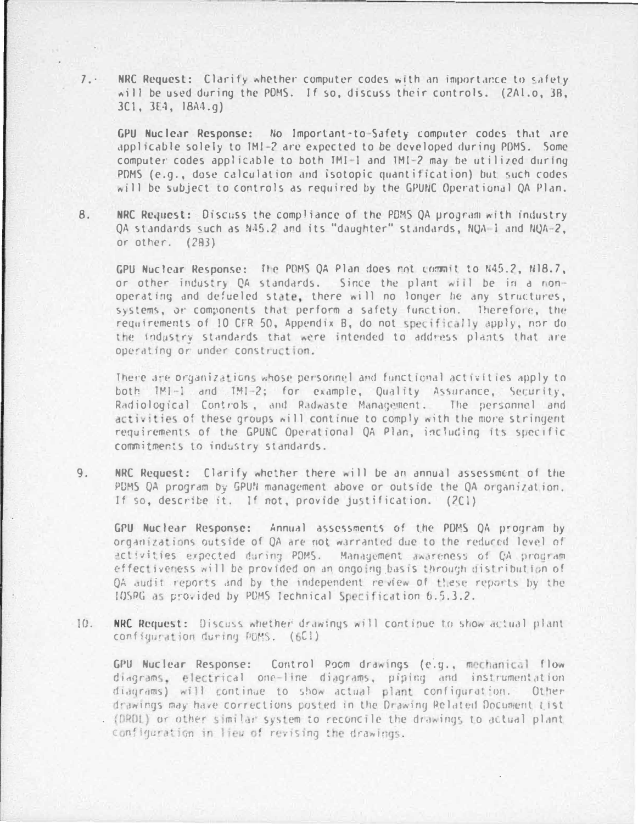NRC Request: Clarify whether computer codes with an importance to safety will be used during the PDMS. If so, discuss their controls. (2Al.o. 3B.  $3C1, 3E4, 1BA4.q)$ 

GPU Nuclear Response: No Important-to-Safety computer codes that are applicable solely to IMI-2 are expected to be developed during PDMS. Some computer codes applicable to both TMI-1 and TMI-2 may be utilized during PDMS (e.g., dose calculation and isotopic quantification) but such codes will be subject to controls as required by the GPUNC Operational QA Plan.

NRC Request: Discuss the compliance of the PDMS QA program with industry  $8.$ OA standards such as N45.2 and its "daughter" standards, NOA-1 and NOA-2, or other. (283)

GPU Nuclear Response: The PDMS QA Plan does not commit to N45.2, N18.7, or other industry QA standards. Since the plant will be in a nonoperating and defueled state, there will no longer he any structures, systems, or components that perform a safety function. Therefore, the requirements of 10 CFR 50, Appendix B, do not specifically apply, nor do the industry standards that were intended to address plants that are operating or under construction.

There are organizations whose personnel and functional activities apply to both IMI-1 and IMI-2; for example, Quality Assurance, Security, Radiological Controls, and Radwaste Management. The personnel and activities of these groups will continue to comply with the more stringent requirements of the GPUNC Operational OA Plan, including its specific commitments to industry standards.

 $9.$ NRC Request: Clarify whether there will be an annual assessment of the PDMS OA program by GPUN management above or outside the OA organization. If so, describe it. If not, provide justification. (2Cl)

GPU Nuclear Response: Annual assessments of the PDMS OA program by organizations outside of QA are not warranted due to the reduced level of activities expected during PDMS. Management awareness of CA prodiam effectiveness will be provided on an ongoing basis through distribution of OA audit reports and by the independent review of these reports by the IOSRG as provided by PDMS Technical Specification 6.5.3.2.

 $10.$ NRC Request: Discuss whether drawings will continue to show actual plant. configuration during PDMS. (6C1)

GPU Nuclear Response: Control Poom drawings (e.g., mechanical flow diagrams, electrical one-line diagrams, piping and instrumentation diagrams) will continue to show actual plant configuration. Other drawings may have corrections posted in the Drawing Related Document tist (DRDL) or other similar system to reconcile the drawings to actual plant configuration in lies of revising the drawings.

 $7.$